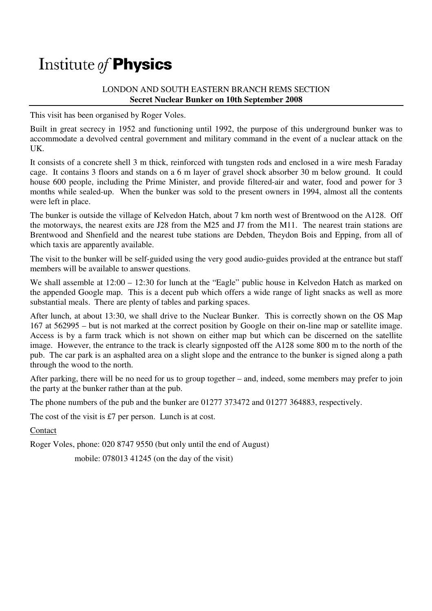## Institute of **Physics**

## LONDON AND SOUTH EASTERN BRANCH REMS SECTION **Secret Nuclear Bunker on 10th September 2008**

This visit has been organised by Roger Voles.

Built in great secrecy in 1952 and functioning until 1992, the purpose of this underground bunker was to accommodate a devolved central government and military command in the event of a nuclear attack on the UK.

It consists of a concrete shell 3 m thick, reinforced with tungsten rods and enclosed in a wire mesh Faraday cage. It contains 3 floors and stands on a 6 m layer of gravel shock absorber 30 m below ground. It could house 600 people, including the Prime Minister, and provide filtered-air and water, food and power for 3 months while sealed-up. When the bunker was sold to the present owners in 1994, almost all the contents were left in place.

The bunker is outside the village of Kelvedon Hatch, about 7 km north west of Brentwood on the A128. Off the motorways, the nearest exits are J28 from the M25 and J7 from the M11. The nearest train stations are Brentwood and Shenfield and the nearest tube stations are Debden, Theydon Bois and Epping, from all of which taxis are apparently available.

The visit to the bunker will be self-guided using the very good audio-guides provided at the entrance but staff members will be available to answer questions.

We shall assemble at  $12:00 - 12:30$  for lunch at the "Eagle" public house in Kelvedon Hatch as marked on the appended Google map. This is a decent pub which offers a wide range of light snacks as well as more substantial meals. There are plenty of tables and parking spaces.

After lunch, at about 13:30, we shall drive to the Nuclear Bunker. This is correctly shown on the OS Map 167 at 562995 – but is not marked at the correct position by Google on their on-line map or satellite image. Access is by a farm track which is not shown on either map but which can be discerned on the satellite image. However, the entrance to the track is clearly signposted off the A128 some 800 m to the north of the pub. The car park is an asphalted area on a slight slope and the entrance to the bunker is signed along a path through the wood to the north.

After parking, there will be no need for us to group together – and, indeed, some members may prefer to join the party at the bunker rather than at the pub.

The phone numbers of the pub and the bunker are 01277 373472 and 01277 364883, respectively.

The cost of the visit is £7 per person. Lunch is at cost.

Contact

Roger Voles, phone: 020 8747 9550 (but only until the end of August)

mobile: 078013 41245 (on the day of the visit)